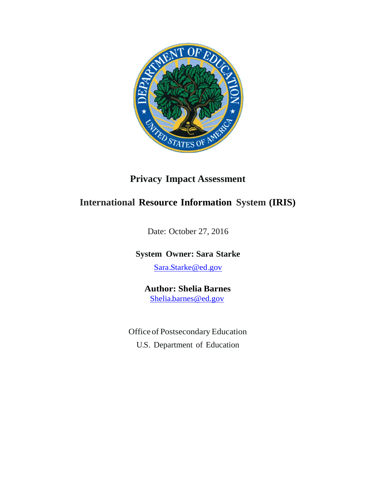

## **Privacy Impact Assessment**

## **International Resource Information System (IRIS)**

Date: October 27, 2016

## **System Owner: Sara Starke**

[Sara.Starke@ed.gov](mailto:Sara.Starke@ed.gov)

## **Author: Shelia Barnes** [Shelia.barnes@ed.gov](mailto:sheila.barnes@ed.gov)

Office of Postsecondary Education U.S. Department of Education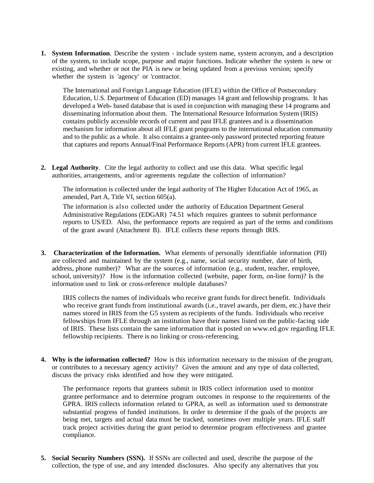**1. System Information**. Describe the system - include system name, system acronym, and a description of the system, to include scope, purpose and major functions. Indicate whether the system is new or existing, and whether or not the PIA is new or being updated from a previous version; specify whether the system is 'agency' or 'contractor.

The International and Foreign Language Education (IFLE) within the Office of Postsecondary Education, U.S. Department of Education (ED) manages 14 grant and fellowship programs. It has developed a Web- based database that is used in conjunction with managing these 14 programs and disseminating information about them. The International Resource Information System (IRIS) contains publicly accessible records of current and past IFLE grantees and is a dissemination mechanism for information about all IFLE grant programs to the international education community and to the public as a whole. It also contains a grantee-only password protected reporting feature that captures and reports Annual/Final Performance Reports (APR) from current IFLE grantees.

**2. Legal Authority**. Cite the legal authority to collect and use this data. What specific legal authorities, arrangements, and/or agreements regulate the collection of information?

The information is collected under the legal authority of The Higher Education Act of 1965, as amended, Part A, Title VI, section 605(a).

The information is also collected under the authority of Education Department General Administrative Regulations (EDGAR) 74.51 which requires grantees to submit performance reports to US/ED. Also, the performance reports are required as part of the terms and conditions of the grant award (Attachment B). IFLE collects these reports through IRIS.

**3. Characterization of the Information.** What elements of personally identifiable information (PII) are collected and maintained by the system (e.g., name, social security number, date of birth, address, phone number)? What are the sources of information (e.g., student, teacher, employee, school, university)? How is the information collected (website, paper form, on-line form)? Is the information used to link or cross-reference multiple databases?

IRIS collects the names of individuals who receive grant funds for direct benefit. Individuals who receive grant funds from institutional awards (i.e., travel awards, per diem, etc.) have their names stored in IRIS from the G5 system as recipients of the funds. Individuals who receive fellowships from IFLE through an institution have their names listed on the public-facing side of IRIS. These lists contain the same information that is posted on [www.ed.gov](http://www.ed.gov/) regarding IFLE fellowship recipients. There is no linking or cross-referencing.

**4. Why is the information collected?** How is this information necessary to the mission of the program, or contributes to a necessary agency activity? Given the amount and any type of data collected, discuss the privacy risks identified and how they were mitigated.

The performance reports that grantees submit in IRIS collect information used to monitor grantee performance and to determine program outcomes in response to the requirements of the GPRA. IRIS collects information related to GPRA, as well as information used to demonstrate substantial progress of funded institutions. In order to determine if the goals of the projects are being met, targets and actual data must be tracked, sometimes over multiple years. IFLE staff track project activities during the grant period to determine program effectiveness and grantee compliance.

**5. Social Security Numbers (SSN).** If SSNs are collected and used, describe the purpose of the collection, the type of use, and any intended disclosures. Also specify any alternatives that you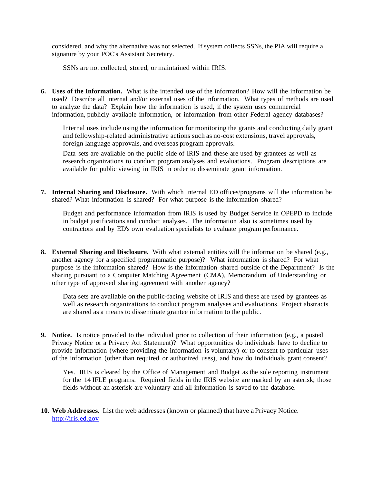considered, and why the alternative was not selected. If system collects SSNs, the PIA will require a signature by your POC's Assistant Secretary.

SSNs are not collected, stored, or maintained within IRIS.

**6. Uses of the Information.** What is the intended use of the information? How will the information be used? Describe all internal and/or external uses of the information. What types of methods are used to analyze the data? Explain how the information is used, if the system uses commercial information, publicly available information, or information from other Federal agency databases?

Internal uses include using the information for monitoring the grants and conducting daily grant and fellowship-related administrative actions such as no-cost extensions, travel approvals, foreign language approvals, and overseas program approvals.

Data sets are available on the public side of IRIS and these are used by grantees as well as research organizations to conduct program analyses and evaluations. Program descriptions are available for public viewing in IRIS in order to disseminate grant information.

**7. Internal Sharing and Disclosure.** With which internal ED offices/programs will the information be shared? What information is shared? For what purpose is the information shared?

Budget and performance information from IRIS is used by Budget Service in OPEPD to include in budget justifications and conduct analyses. The information also is sometimes used by contractors and by ED's own evaluation specialists to evaluate program performance.

**8. External Sharing and Disclosure.** With what external entities will the information be shared (e.g., another agency for a specified programmatic purpose)? What information is shared? For what purpose is the information shared? How is the information shared outside of the Department? Is the sharing pursuant to a Computer Matching Agreement (CMA), Memorandum of Understanding or other type of approved sharing agreement with another agency?

Data sets are available on the public-facing website of IRIS and these are used by grantees as well as research organizations to conduct program analyses and evaluations. Project abstracts are shared as a means to disseminate grantee information to the public.

**9. Notice.** Is notice provided to the individual prior to collection of their information (e.g., a posted Privacy Notice or a Privacy Act Statement)? What opportunities do individuals have to decline to provide information (where providing the information is voluntary) or to consent to particular uses of the information (other than required or authorized uses), and how do individuals grant consent?

Yes. IRIS is cleared by the Office of Management and Budget as the sole reporting instrument for the 14 IFLE programs. Required fields in the IRIS website are marked by an asterisk; those fields without an asterisk are voluntary and all information is saved to the database.

**10. Web Addresses.** List the web addresses (known or planned) that have a Privacy Notice. [http://iris.ed.gov](http://iris.ed.gov/)